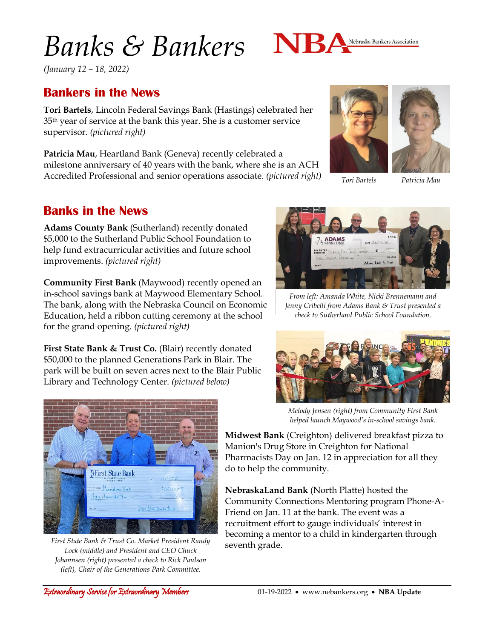# *Banks & Bankers*



*(January 12 – 18, 2022)*

## **Bankers in the News**

**Tori Bartels**, Lincoln Federal Savings Bank (Hastings) celebrated her 35th year of service at the bank this year. She is a customer service supervisor. *(pictured right)*

**Patricia Mau**, Heartland Bank (Geneva) recently celebrated a milestone anniversary of 40 years with the bank, where she is an ACH Accredited Professional and senior operations associate. *(pictured right)*

#### **Banks in the News**

**Adams County Bank** (Sutherland) recently donated \$5,000 to the Sutherland Public School Foundation to help fund extracurricular activities and future school improvements. *(pictured right)*

**Community First Bank** (Maywood) recently opened an in-school savings bank at Maywood Elementary School. The bank, along with the Nebraska Council on Economic Education, held a ribbon cutting ceremony at the school for the grand opening. *(pictured right)*

**First State Bank & Trust Co.** (Blair) recently donated \$50,000 to the planned Generations Park in Blair. The park will be built on seven acres next to the Blair Public Library and Technology Center. *(pictured below)*



*First State Bank & Trust Co. Market President Randy Lock (middle) and President and CEO Chuck Johannsen (right) presented a check to Rick Paulson (left), Chair of the Generations Park Committee.*



*Tori Bartels Patricia Mau*



*From left: Amanda White, Nicki Brennemann and Jenny Cribelli from Adams Bank & Trust presented a check to Sutherland Public School Foundation.*



*Melody Jensen (right) from Community First Bank helped launch Maywood's in-school savings bank.*

**Midwest Bank** (Creighton) delivered breakfast pizza to Manion's Drug Store in Creighton for National Pharmacists Day on Jan. 12 in appreciation for all they do to help the community.

**NebraskaLand Bank** (North Platte) hosted the Community Connections Mentoring program Phone-A-Friend on Jan. 11 at the bank. The event was a recruitment effort to gauge individuals' interest in becoming a mentor to a child in kindergarten through seventh grade.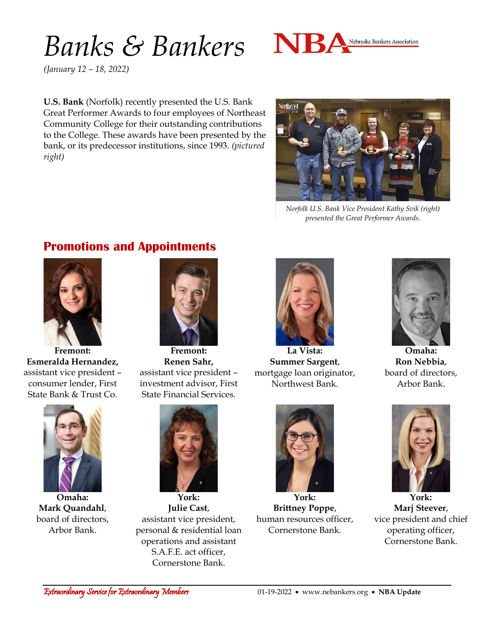## *Banks & Bankers*



*(January 12 – 18, 2022)*

**U.S. Bank** (Norfolk) recently presented the U.S. Bank Great Performer Awards to four employees of Northeast Community College for their outstanding contributions to the College. These awards have been presented by the bank, or its predecessor institutions, since 1993. *(pictured right)*



*Norfolk U.S. Bank Vice President Kathy Svik (right) presented the Great Performer Awards.*

## **Promotions and Appointments**



**Fremont: Esmeralda Hernandez,** assistant vice president – consumer lender, First State Bank & Trust Co.



**Omaha: Mark Quandahl**, board of directors, Arbor Bank.



**Fremont: Renen Sahr,** assistant vice president – investment advisor, First State Financial Services.

**York: Julie Cast**, assistant vice president, personal & residential loan operations and assistant S.A.F.E. act officer, Cornerstone Bank.



**La Vista: Summer Sargent**, mortgage loan originator, Northwest Bank.



**Omaha: Ron Nebbia**, board of directors, Arbor Bank.



**York: Brittney Poppe**, human resources officer, Cornerstone Bank.



**York: Marj Steever**, vice president and chief operating officer, Cornerstone Bank.